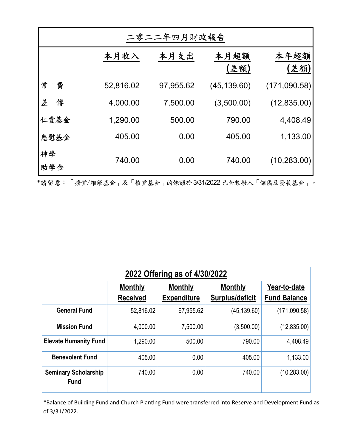| 二零二二年四月財政報告 |           |           |              |              |  |  |  |  |  |
|-------------|-----------|-----------|--------------|--------------|--|--|--|--|--|
|             | 本月收入      | 本月支出      | 本月超額<br>(差額) | 本年超額<br>(差額) |  |  |  |  |  |
| 常<br>費      | 52,816.02 | 97,955.62 | (45, 139.60) | (171,090.58) |  |  |  |  |  |
| 差<br>傳      | 4,000.00  | 7,500.00  | (3,500.00)   | (12, 835.00) |  |  |  |  |  |
| 仁愛基金        | 1,290.00  | 500.00    | 790.00       | 4,408.49     |  |  |  |  |  |
| 慈慰基金        | 405.00    | 0.00      | 405.00       | 1,133.00     |  |  |  |  |  |
| 神學<br>助學金   | 740.00    | 0.00      | 740.00       | (10, 283.00) |  |  |  |  |  |

Ύ請留意:「擴堂/維修基金」及「植堂基金」的餘額於已全數撥入「儲備及發展基金」。

| 2022 Offering as of 4/30/2022              |                                   |                                      |                                   |                                     |  |  |  |  |  |
|--------------------------------------------|-----------------------------------|--------------------------------------|-----------------------------------|-------------------------------------|--|--|--|--|--|
|                                            | <b>Monthly</b><br><b>Received</b> | <b>Monthly</b><br><b>Expenditure</b> | <b>Monthly</b><br>Surplus/deficit | Year-to-date<br><b>Fund Balance</b> |  |  |  |  |  |
| <b>General Fund</b>                        | 52,816.02                         | 97,955.62                            | (45, 139.60)                      | (171,090.58)                        |  |  |  |  |  |
| <b>Mission Fund</b>                        | 4,000.00                          | 7,500.00                             | (3,500.00)                        | (12, 835.00)                        |  |  |  |  |  |
| <b>Elevate Humanity Fund</b>               | 1,290.00                          | 500.00                               | 790.00                            | 4,408.49                            |  |  |  |  |  |
| <b>Benevolent Fund</b>                     | 405.00                            | 0.00                                 | 405.00                            | 1,133.00                            |  |  |  |  |  |
| <b>Seminary Scholarship</b><br><b>Fund</b> | 740.00                            | 0.00                                 | 740.00                            | (10, 283.00)                        |  |  |  |  |  |

\*Balance of Building Fund and Church Planting Fund were transferred into Reserve and Development Fund as of 3/31/2022.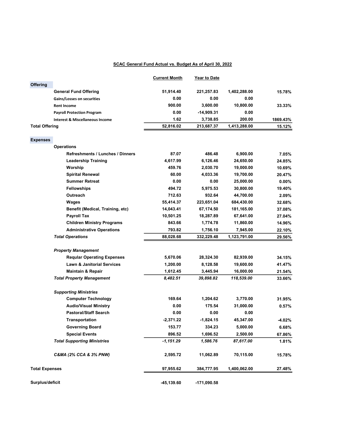## SCAC General Fund Actual vs. Budget As of April 30, 2022

|                       |                                            | <b>Current Month</b> | <b>Year to Date</b> |              |          |
|-----------------------|--------------------------------------------|----------------------|---------------------|--------------|----------|
| Offering              |                                            |                      |                     |              |          |
|                       | <b>General Fund Offering</b>               | 51,914.40            | 221,257.83          | 1,402,288.00 | 15.78%   |
|                       | Gains/Losses on securities                 | 0.00                 | 0.00                | 0.00         |          |
|                       | <b>Rent Income</b>                         | 900.00               | 3,600.00            | 10,800.00    | 33.33%   |
|                       | <b>Payroll Protection Program</b>          | 0.00                 | -14,909.31          | 0.00         |          |
|                       | <b>Interest &amp; Miscellaneous Income</b> | 1.62                 | 3,738.85            | 200.00       | 1869.43% |
| <b>Total Offering</b> |                                            | 52,816.02            | 213,687.37          | 1,413,288.00 | 15.12%   |
|                       |                                            |                      |                     |              |          |
| <b>Expenses</b>       |                                            |                      |                     |              |          |
|                       | <b>Operations</b>                          |                      |                     |              |          |
|                       | Refreshments / Lunches / Dinners           | 87.07                | 486.48              | 6,900.00     | 7.05%    |
|                       | <b>Leadership Training</b>                 | 4,617.99             | 6,126.46            | 24,650.00    | 24.85%   |
|                       | Worship                                    | 459.76               | 2,030.70            | 19,000.00    | 10.69%   |
|                       | <b>Spirital Renewal</b>                    | 60.00                | 4,033.36            | 19,700.00    | 20.47%   |
|                       | <b>Summer Retreat</b>                      | 0.00                 | 0.00                | 25,000.00    | $0.00\%$ |
|                       | Fellowships                                | 494.72               | 5,975.53            | 30,800.00    | 19.40%   |
|                       | <b>Outreach</b>                            | 712.63               | 932.64              | 44,700.00    | 2.09%    |
|                       | Wages                                      | 55,414.37            | 223,651.04          | 684,430.00   | 32.68%   |
|                       | Benefit (Medical, Training, etc)           | 14,043.41            | 67,174.50           | 181,165.00   | 37.08%   |
|                       | <b>Payroll Tax</b>                         | 10,501.25            | 18,287.89           | 67,641.00    | 27.04%   |
|                       | <b>Children Ministry Programs</b>          | 843.66               | 1,774.78            | 11,860.00    | 14.96%   |
|                       | <b>Administrative Operations</b>           | 793.82               | 1,756.10            | 7,945.00     | 22.10%   |
|                       | <b>Total Operations</b>                    | 88,028.68            | 332,229.48          | 1,123,791.00 | 29.56%   |
|                       | <b>Property Management</b>                 |                      |                     |              |          |
|                       | <b>Reqular Operating Expenses</b>          | 5,670.06             | 28,324.30           | 82,939.00    | 34.15%   |
|                       | <b>Lawn &amp; Janitorial Services</b>      | 1,200.00             | 8,128.58            | 19,600.00    | 41.47%   |
|                       | <b>Maintain &amp; Repair</b>               | 1,612.45             | 3,445.94            | 16,000.00    | 21.54%   |
|                       | <b>Total Property Management</b>           | 8,482.51             | 39,898.82           | 118,539.00   | 33.66%   |
|                       |                                            |                      |                     |              |          |
|                       | <b>Supporting Ministries</b>               |                      |                     |              |          |
|                       | <b>Computer Technology</b>                 | 169.64               | 1,204.62            | 3,770.00     | 31.95%   |
|                       | <b>Audio/Visual Ministry</b>               | 0.00                 | 175.54              | 31,000.00    | 0.57%    |
|                       | <b>Pastoral/Staff Search</b>               | 0.00                 | 0.00                | 0.00         |          |
|                       | <b>Transportation</b>                      | $-2,371.22$          | $-1,824.15$         | 45,347.00    | -4.02%   |
|                       | <b>Governing Board</b>                     | 153.77               | 334.23              | 5,000.00     | 6.68%    |
|                       | <b>Special Events</b>                      | 896.52               | 1,696.52            | 2,500.00     | 67.86%   |
|                       | <b>Total Supporting Ministries</b>         | $-1,151.29$          | 1,586.76            | 87,617.00    | 1.81%    |
|                       | C&MA (2% CCA & 3% PNW)                     | 2,595.72             | 11,062.89           | 70,115.00    | 15.78%   |
| <b>Total Expenses</b> |                                            | 97,955.62            | 384,777.95          | 1,400,062.00 | 27.48%   |
| Surplus/deficit       |                                            | -45,139.60           | -171,090.58         |              |          |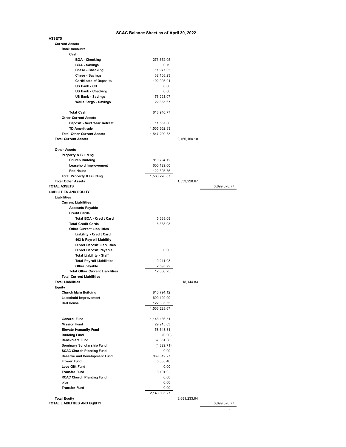## **SCAC Balance Sheet as of April 30, 2022**

|                                        | <u>SUAU Dalance Sheet as 01 April 30, 2022</u> |                 |              |
|----------------------------------------|------------------------------------------------|-----------------|--------------|
| <b>ASSETS</b>                          |                                                |                 |              |
| <b>Current Assets</b>                  |                                                |                 |              |
| <b>Bank Accounts</b>                   |                                                |                 |              |
| Cash                                   |                                                |                 |              |
| <b>BOA</b> - Checking                  | 273,672.05                                     |                 |              |
| <b>BOA - Savings</b>                   | 0.79                                           |                 |              |
| Chase - Checking                       | 11,977.05                                      |                 |              |
| <b>Chase - Savings</b>                 | 32,108.23                                      |                 |              |
| <b>Certificate of Deposits</b>         | 102,095.91                                     |                 |              |
| US Bank - CD                           | 0.00                                           |                 |              |
| US Bank - Checking                     | 0.00                                           |                 |              |
| <b>US Bank - Savings</b>               | 176,221.07                                     |                 |              |
| <b>Wells Fargo - Savings</b>           | 22,865.67                                      |                 |              |
|                                        |                                                |                 |              |
| <b>Total Cash</b>                      | 618,940.77                                     |                 |              |
| <b>Other Current Assets</b>            |                                                |                 |              |
| Deposit - Next Year Retreat            | 11,557.00                                      |                 |              |
| <b>TD Ameritrade</b>                   | 1,535,652.33                                   |                 |              |
| <b>Total Other Current Assets</b>      | 1,547,209.33                                   |                 |              |
| <b>Total Current Assets</b>            |                                                | 2, 166, 150. 10 |              |
|                                        |                                                |                 |              |
| <b>Other Assets</b>                    |                                                |                 |              |
| Property & Building                    |                                                |                 |              |
| <b>Church Building</b>                 | 810,794.12                                     |                 |              |
| <b>Leasehold Improvement</b>           | 600,129.00                                     |                 |              |
| <b>Red House</b>                       | 122,305.55                                     |                 |              |
| <b>Total Property &amp; Building</b>   | 1,533,228.67                                   |                 |              |
| <b>Total Other Assets</b>              |                                                | 1,533,228.67    |              |
| <b>TOTAL ASSETS</b>                    |                                                |                 | 3,699,378.77 |
| <b>LIABILITIES AND EQUITY</b>          |                                                |                 |              |
| Liabilities                            |                                                |                 |              |
|                                        |                                                |                 |              |
| <b>Current Liabilities</b>             |                                                |                 |              |
| <b>Accounts Payable</b>                |                                                |                 |              |
| <b>Credit Cards</b>                    |                                                |                 |              |
| <b>Total BOA - Credit Card</b>         | 5,338.08                                       |                 |              |
| <b>Total Credit Cards</b>              | 5,338.08                                       |                 |              |
| <b>Other Current Liabilities</b>       |                                                |                 |              |
| Liability - Credit Card                |                                                |                 |              |
| 403 b Payroll Liabiltiy                |                                                |                 |              |
| <b>Direct Deposit Liabilities</b>      |                                                |                 |              |
| Direct Deposit Payable                 | 0.00                                           |                 |              |
| <b>Total Liability - Staff</b>         |                                                |                 |              |
| <b>Total Payroll Liabilities</b>       | 10,211.03                                      |                 |              |
| Other payable                          | 2,595.72                                       |                 |              |
| <b>Total Other Current Liabilities</b> | 12,806.75                                      |                 |              |
| <b>Total Current Liabilities</b>       |                                                |                 |              |
| <b>Total Liabilities</b>               |                                                | 18, 144.83      |              |
| Equity                                 |                                                |                 |              |
| Church Main Building                   | 810,794.12                                     |                 |              |
| Leasehold Improvement                  | 600,129.00                                     |                 |              |
| <b>Red House</b>                       | 122,305.55                                     |                 |              |
|                                        | 1,533,228.67                                   |                 |              |
|                                        |                                                |                 |              |
| <b>General Fund</b>                    | 1, 148, 136.51                                 |                 |              |
| <b>Mission Fund</b>                    | 29,915.03                                      |                 |              |
| <b>Elevate Humanily Fund</b>           | 58,643.31                                      |                 |              |
| <b>Building Fund</b>                   | (0.00)                                         |                 |              |
| <b>Benevolent Fund</b>                 | 37,361.38                                      |                 |              |
| Seminary Scholarship Fund              | (4,829.71)                                     |                 |              |
| <b>SCAC Church Planting Fund</b>       | 0.00                                           |                 |              |
| <b>Reserve and Development Fund</b>    | 869,812.27                                     |                 |              |
| <b>Flower Fund</b>                     | 5,865.46                                       |                 |              |
| Love Gift Fund                         | 0.00                                           |                 |              |
| <b>Transfer Fund</b>                   | 3,101.02                                       |                 |              |
| <b>RCAC Church Planting Fund</b>       | 0.00                                           |                 |              |
| plus                                   | 0.00                                           |                 |              |
| <b>Transfer Fund</b>                   | 0.00                                           |                 |              |
|                                        | 2,148,005.27                                   |                 |              |
| <b>Total Equity</b>                    |                                                | 3,681,233.94    |              |

**TOTAL LIABILITIES AND EQUITY** 3,699,378.77

3,699,378.77